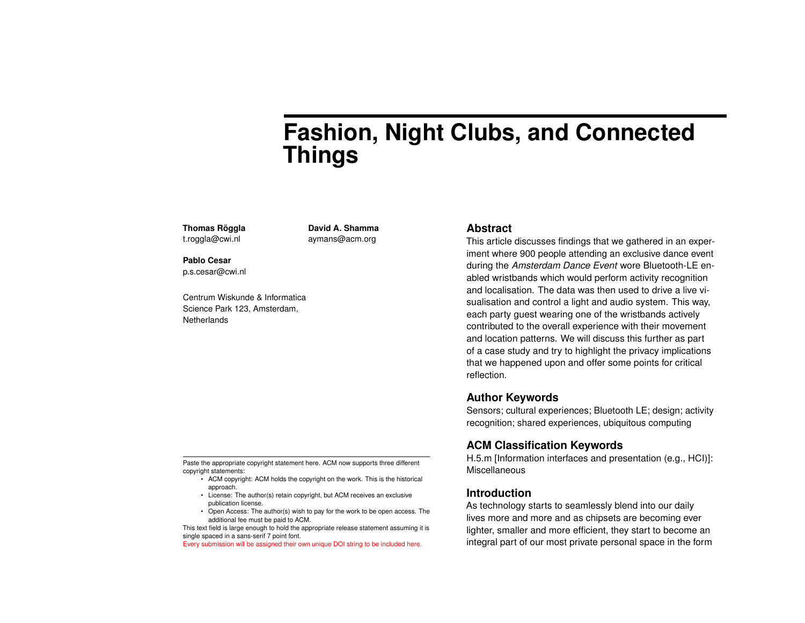# **Fashion, Night Clubs, and Connected Things**

**Thomas Röggla** t.roggla@cwi.nl

**David A. Shamma** aymans@acm.org

**Pablo Cesar** p.s.cesar@cwi.nl

Centrum Wiskunde & Informatica Science Park 123, Amsterdam, **Netherlands** 

#### **Abstract**

This article discusses findings that we gathered in an experiment where 900 people attending an exclusive dance event during the *Amsterdam Dance Event* wore Bluetooth-LE enabled wristbands which would perform activity recognition and localisation. The data was then used to drive a live visualisation and control a light and audio system. This way, each party guest wearing one of the wristbands actively contributed to the overall experience with their movement and location patterns. We will discuss this further as part of a case study and try to highlight the privacy implications that we happened upon and offer some points for critical reflection.

# **Author Keywords**

Sensors; cultural experiences; Bluetooth LE; design; activity recognition; shared experiences, ubiquitous computing

# **ACM Classification Keywords**

H.5.m [Information interfaces and presentation (e.g., HCI)]: Miscellaneous

### **Introduction**

As technology starts to seamlessly blend into our daily lives more and more and as chipsets are becoming ever lighter, smaller and more efficient, they start to become an integral part of our most private personal space in the form

Paste the appropriate copyright statement here. ACM now supports three different copyright statements:

- ACM copyright: ACM holds the copyright on the work. This is the historical approach.
- License: The author(s) retain copyright, but ACM receives an exclusive publication license.
- Open Access: The author(s) wish to pay for the work to be open access. The additional fee must be paid to ACM.

This text field is large enough to hold the appropriate release statement assuming it is single spaced in a sans-serif 7 point font.

Every submission will be assigned their own unique DOI string to be included here.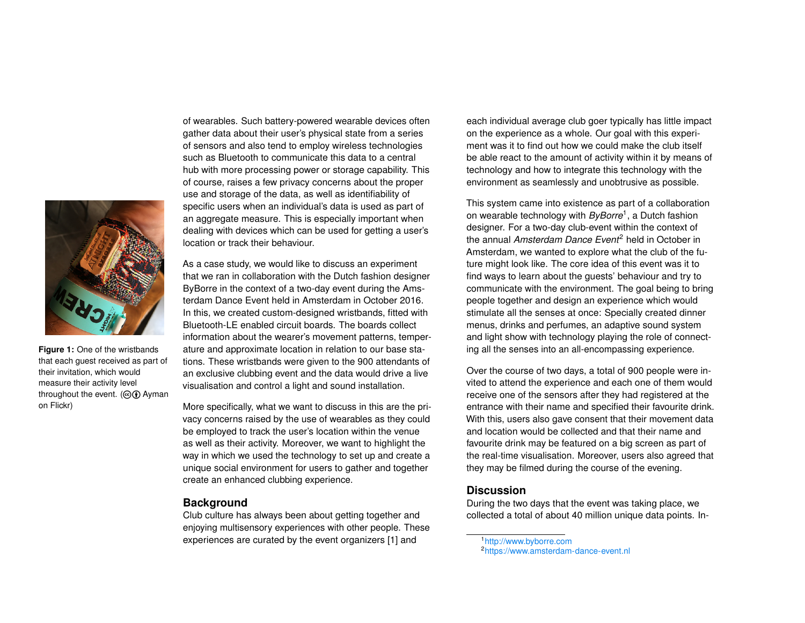

**Figure 1:** One of the wristbands that each guest received as part of their invitation, which would measure their activity level throughout the event. ( $\odot$  **Ayman** on Flickr)

of wearables. Such battery-powered wearable devices often gather data about their user's physical state from a series of sensors and also tend to employ wireless technologies such as Bluetooth to communicate this data to a central hub with more processing power or storage capability. This of course, raises a few privacy concerns about the proper use and storage of the data, as well as identifiability of specific users when an individual's data is used as part of an aggregate measure. This is especially important when dealing with devices which can be used for getting a user's location or track their behaviour.

As a case study, we would like to discuss an experiment that we ran in collaboration with the Dutch fashion designer ByBorre in the context of a two-day event during the Amsterdam Dance Event held in Amsterdam in October 2016. In this, we created custom-designed wristbands, fitted with Bluetooth-LE enabled circuit boards. The boards collect information about the wearer's movement patterns, temperature and approximate location in relation to our base stations. These wristbands were given to the 900 attendants of an exclusive clubbing event and the data would drive a live visualisation and control a light and sound installation.

More specifically, what we want to discuss in this are the privacy concerns raised by the use of wearables as they could be employed to track the user's location within the venue as well as their activity. Moreover, we want to highlight the way in which we used the technology to set up and create a unique social environment for users to gather and together create an enhanced clubbing experience.

#### **Background**

Club culture has always been about getting together and enjoying multisensory experiences with other people. These experiences are curated by the event organizers [\[1\]](#page-3-0) and

each individual average club goer typically has little impact on the experience as a whole. Our goal with this experiment was it to find out how we could make the club itself be able react to the amount of activity within it by means of technology and how to integrate this technology with the environment as seamlessly and unobtrusive as possible.

This system came into existence as part of a collaboration on wearable technology with *ByBorre*[1](#page-1-0) , a Dutch fashion designer. For a two-day club-event within the context of the annual *Amsterdam Dance Event*[2](#page-1-1) held in October in Amsterdam, we wanted to explore what the club of the future might look like. The core idea of this event was it to find ways to learn about the guests' behaviour and try to communicate with the environment. The goal being to bring people together and design an experience which would stimulate all the senses at once: Specially created dinner menus, drinks and perfumes, an adaptive sound system and light show with technology playing the role of connecting all the senses into an all-encompassing experience.

Over the course of two days, a total of 900 people were invited to attend the experience and each one of them would receive one of the sensors after they had registered at the entrance with their name and specified their favourite drink. With this, users also gave consent that their movement data and location would be collected and that their name and favourite drink may be featured on a big screen as part of the real-time visualisation. Moreover, users also agreed that they may be filmed during the course of the evening.

#### **Discussion**

During the two days that the event was taking place, we collected a total of about 40 million unique data points. In-

<span id="page-1-1"></span><span id="page-1-0"></span><sup>1</sup><http://www.byborre.com> 2<https://www.amsterdam-dance-event.nl>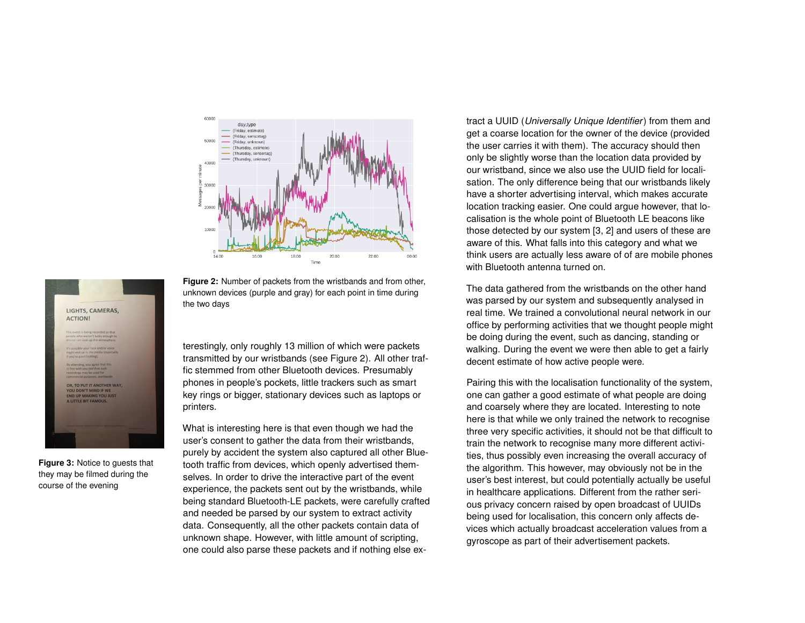<span id="page-2-0"></span>

**Figure 2:** Number of packets from the wristbands and from other, unknown devices (purple and gray) for each point in time during the two days

terestingly, only roughly 13 million of which were packets transmitted by our wristbands (see Figure [2\)](#page-2-0). All other traffic stemmed from other Bluetooth devices. Presumably phones in people's pockets, little trackers such as smart key rings or bigger, stationary devices such as laptops or printers.

What is interesting here is that even though we had the user's consent to gather the data from their wristbands, purely by accident the system also captured all other Bluetooth traffic from devices, which openly advertised themselves. In order to drive the interactive part of the event experience, the packets sent out by the wristbands, while being standard Bluetooth-LE packets, were carefully crafted and needed be parsed by our system to extract activity data. Consequently, all the other packets contain data of unknown shape. However, with little amount of scripting, one could also parse these packets and if nothing else ex-

tract a UUID (*Universally Unique Identifier*) from them and get a coarse location for the owner of the device (provided the user carries it with them). The accuracy should then only be slightly worse than the location data provided by our wristband, since we also use the UUID field for localisation. The only difference being that our wristbands likely have a shorter advertising interval, which makes accurate location tracking easier. One could argue however, that localisation is the whole point of Bluetooth LE beacons like those detected by our system [\[3,](#page-3-1) [2\]](#page-3-2) and users of these are aware of this. What falls into this category and what we think users are actually less aware of of are mobile phones with Bluetooth antenna turned on.

The data gathered from the wristbands on the other hand was parsed by our system and subsequently analysed in real time. We trained a convolutional neural network in our office by performing activities that we thought people might be doing during the event, such as dancing, standing or walking. During the event we were then able to get a fairly decent estimate of how active people were.

Pairing this with the localisation functionality of the system, one can gather a good estimate of what people are doing and coarsely where they are located. Interesting to note here is that while we only trained the network to recognise three very specific activities, it should not be that difficult to train the network to recognise many more different activities, thus possibly even increasing the overall accuracy of the algorithm. This however, may obviously not be in the user's best interest, but could potentially actually be useful in healthcare applications. Different from the rather serious privacy concern raised by open broadcast of UUIDs being used for localisation, this concern only affects devices which actually broadcast acceleration values from a gyroscope as part of their advertisement packets.



**Figure 3:** Notice to guests that they may be filmed during the course of the evening